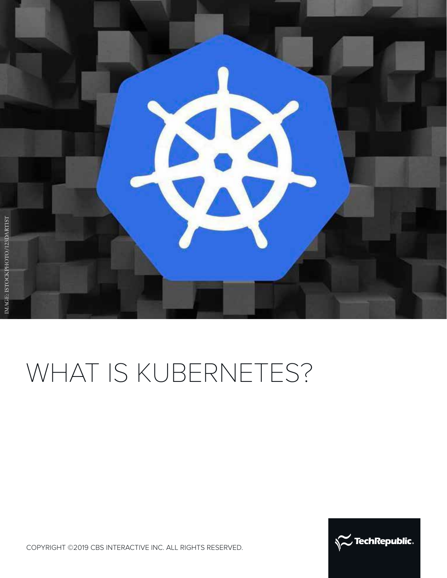

# WHAT IS KUBERNETES?



COPYRIGHT ©2019 CBS INTERACTIVE INC. ALL RIGHTS RESERVED.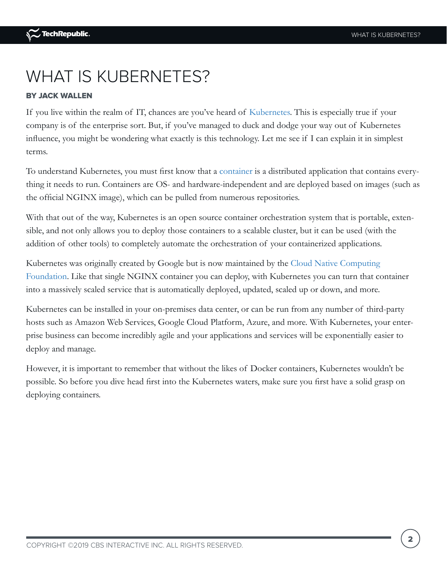# WHAT IS KUBERNETES?

### BY JACK WALLEN

If you live within the realm of IT, chances are you've heard of [Kubernetes](https://www.techrepublic.com/article/kubernetes-the-smart-persons-guide/). This is especially true if your company is of the enterprise sort. But, if you've managed to duck and dodge your way out of Kubernetes influence, you might be wondering what exactly is this technology. Let me see if I can explain it in simplest terms.

To understand Kubernetes, you must first know that a [container](https://www.techrepublic.com/article/containers-the-smart-persons-guide/) is a distributed application that contains everything it needs to run. Containers are OS- and hardware-independent and are deployed based on images (such as the official NGINX image), which can be pulled from numerous repositories.

With that out of the way, Kubernetes is an open source container orchestration system that is portable, extensible, and not only allows you to deploy those containers to a scalable cluster, but it can be used (with the addition of other tools) to completely automate the orchestration of your containerized applications.

Kubernetes was originally created by Google but is now maintained by the [Cloud Native Computing](https://www.cncf.io/)  [Foundation](https://www.cncf.io/). Like that single NGINX container you can deploy, with Kubernetes you can turn that container into a massively scaled service that is automatically deployed, updated, scaled up or down, and more.

Kubernetes can be installed in your on-premises data center, or can be run from any number of third-party hosts such as Amazon Web Services, Google Cloud Platform, Azure, and more. With Kubernetes, your enterprise business can become incredibly agile and your applications and services will be exponentially easier to deploy and manage.

However, it is important to remember that without the likes of Docker containers, Kubernetes wouldn't be possible. So before you dive head first into the Kubernetes waters, make sure you first have a solid grasp on deploying containers.